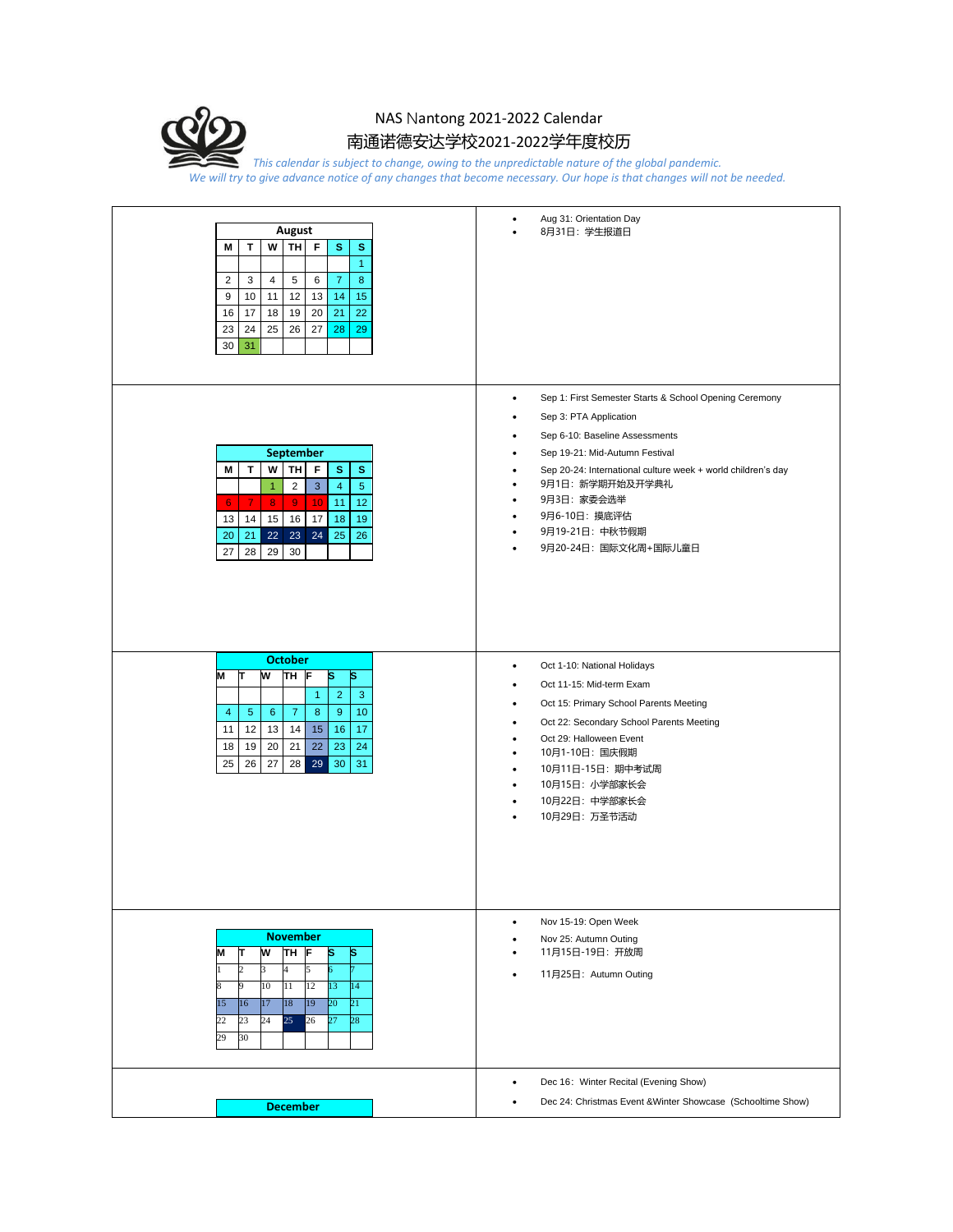

## NAS Nantong 2021-2022 Calendar 南通诺德安达学校2021-2022学年度校历

*This calendar is subject to change, owing to the unpredictable nature of the global pandemic. We will try to give advance notice of any changes that become necessary. Our hope is that changes will not be needed.*

| August<br>TH F<br>T.<br>w<br>s<br>s<br>М<br>$\blacktriangleleft$<br>$\overline{2}$<br>5<br>6<br>$\overline{7}$<br>8<br>3<br>$\overline{4}$<br>9<br>14<br>12<br>13<br>15<br>10<br>11<br>16<br>19<br>20<br>21<br>17<br>18<br>22<br>23<br>25<br>26<br>27<br>28<br>24<br>29<br>30<br>31                                  | Aug 31: Orientation Day<br>$\bullet$<br>8月31日: 学生报道日                                                                                                                                                                                                                                                                                                                                                                           |
|----------------------------------------------------------------------------------------------------------------------------------------------------------------------------------------------------------------------------------------------------------------------------------------------------------------------|--------------------------------------------------------------------------------------------------------------------------------------------------------------------------------------------------------------------------------------------------------------------------------------------------------------------------------------------------------------------------------------------------------------------------------|
| <b>September</b><br>TH<br>F<br>s<br>M<br>T<br>w<br>s<br>$\overline{2}$<br>$\mathbf{3}$<br>$\overline{4}$<br>$\sqrt{5}$<br>$\overline{1}$<br>$\overline{7}$<br>10<br>11<br>12<br>8<br>$\overline{9}$<br>6<br>13<br>14<br>15<br>16<br>17<br>18<br>19<br>23<br>24<br>25<br>20<br>21<br>22<br>26<br>27<br>28<br>29<br>30 | Sep 1: First Semester Starts & School Opening Ceremony<br>$\bullet$<br>Sep 3: PTA Application<br>٠<br>Sep 6-10: Baseline Assessments<br>$\bullet$<br>Sep 19-21: Mid-Autumn Festival<br>$\bullet$<br>Sep 20-24: International culture week + world children's day<br>٠<br>9月1日: 新学期开始及开学典礼<br>٠<br>9月3日: 家委会选举<br>$\bullet$<br>9月6-10日: 摸底评估<br>$\bullet$<br>9月19-21日: 中秋节假期<br>$\bullet$<br>9月20-24日: 国际文化周+国际儿童日<br>$\bullet$ |
| <b>October</b><br>M<br>W<br>IΤ<br>TH<br>s<br>ls<br>$\overline{2}$<br>3<br>$\mathbf{1}$<br>9<br>8<br>10<br>4<br>$\overline{5}$<br>$6^{\circ}$<br>7<br>11<br>14<br>15<br>16<br>17<br>12 <sup>1</sup><br>13<br>22<br>23<br>18<br>19<br>20<br>21<br>24<br>29<br>25<br>26<br>27<br>28<br>30<br>31                         | Oct 1-10: National Holidays<br>$\bullet$<br>Oct 11-15: Mid-term Exam<br>$\bullet$<br>Oct 15: Primary School Parents Meeting<br>$\bullet$<br>Oct 22: Secondary School Parents Meeting<br>٠<br>Oct 29: Halloween Event<br>$\bullet$<br>10月1-10日: 国庆假期<br>$\bullet$<br>10月11日-15日: 期中考试周<br>$\bullet$<br>10月15日: 小学部家长会<br>$\bullet$<br>10月22日: 中学部家长会<br>$\bullet$<br>10月29日: 万圣节活动<br>$\bullet$                                 |
| <b>November</b><br>ŢН<br>w<br>M<br>π<br>ls<br>s<br>2<br>4<br>3<br>5<br>10<br>11<br>12<br>13<br>14<br>9<br>17<br>18<br>19<br>20<br>15<br>16<br>21<br>24<br>25<br>22<br>23<br>26<br>27<br>28<br>29<br>30                                                                                                               | Nov 15-19: Open Week<br>$\bullet$<br>Nov 25: Autumn Outing<br>$\bullet$<br>11月15日-19日: 开放周<br>11月25日: Autumn Outing                                                                                                                                                                                                                                                                                                            |
| <b>December</b>                                                                                                                                                                                                                                                                                                      | Dec 16: Winter Recital (Evening Show)<br>٠<br>Dec 24: Christmas Event & Winter Showcase (Schooltime Show)                                                                                                                                                                                                                                                                                                                      |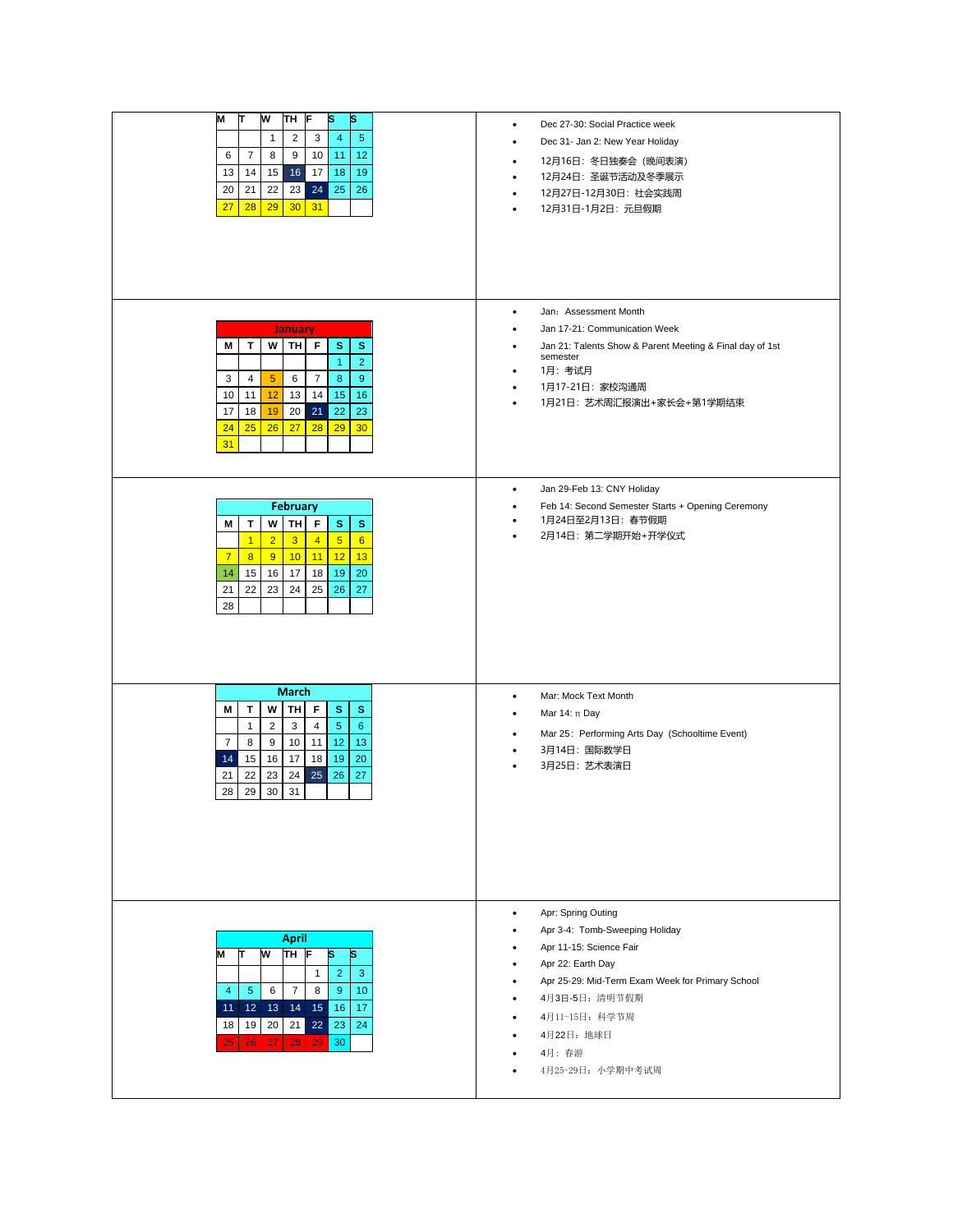| M<br>W<br>ΤН<br>s<br>π<br>s<br>F<br>$\mathbf{1}$<br>$\overline{c}$<br>3<br>$\overline{4}$<br>5<br>8<br>9<br>10<br>12<br>6<br>7<br>11<br>16<br>17<br>18<br>13<br>15<br>19<br>14<br>20<br>22<br>23<br>24<br>25<br>26<br>21<br>27<br>28<br>29<br>30 <sub>o</sub><br>31                                               | Dec 27-30: Social Practice week<br>٠<br>Dec 31- Jan 2: New Year Holiday<br>٠<br>12月16日: 冬日独奏会 (晩间表演)<br>$\bullet$<br>12月24日: 圣诞节活动及冬季展示<br>$\bullet$<br>12月27日-12月30日: 社会实践周<br>٠<br>12月31日-1月2日: 元旦假期<br>٠                                                                |
|-------------------------------------------------------------------------------------------------------------------------------------------------------------------------------------------------------------------------------------------------------------------------------------------------------------------|----------------------------------------------------------------------------------------------------------------------------------------------------------------------------------------------------------------------------------------------------------------------------|
| <b>January</b>                                                                                                                                                                                                                                                                                                    | Jan: Assessment Month<br>$\bullet$<br>Jan 17-21: Communication Week<br>٠                                                                                                                                                                                                   |
| W TH F<br>т<br>s<br>s<br>Μ<br>$\mathbf{1}$<br>$\overline{2}$<br>$5\phantom{.0}$<br>$\overline{7}$<br>8<br>9<br>3<br>6<br>$\overline{4}$<br>10<br>11<br>12<br>13<br>14<br>15<br>16<br>17<br>22<br>18<br>19<br>20<br>21<br>23<br>24<br>26<br>28<br>25<br>27<br>29<br>30 <sub>o</sub><br>31                          | Jan 21: Talents Show & Parent Meeting & Final day of 1st<br>٠<br>semester<br>1月:考试月<br>٠<br>1月17-21日: 家校沟通周<br>$\bullet$<br>1月21日: 艺术周汇报演出+家长会+第1学期结束<br>$\bullet$                                                                                                         |
| <b>February</b><br>W<br>TH  <br>F<br>s<br>s<br>М<br>т<br>2 <sup>2</sup><br>3 <sup>2</sup><br>5 <sup>5</sup><br>$\overline{1}$<br>$\overline{4}$<br>6<br>10 <sup>°</sup><br>12<br>$\overline{7}$<br>8<br>9<br>11<br>13<br>17<br>18<br>14<br>15<br>16<br>19<br>20<br>25<br>21<br>22<br>23<br>24<br>26<br>27<br>28   | Jan 29-Feb 13: CNY Holiday<br>$\bullet$<br>Feb 14: Second Semester Starts + Opening Ceremony<br>$\bullet$<br>1月24日至2月13日: 春节假期<br>٠<br>2月14日: 第二学期开始+开学仪式<br>٠                                                                                                             |
| March<br>W<br>TH  <br>F<br>s<br>М<br>т<br>s<br>$\overline{2}$<br>3<br>$\overline{4}$<br>$5\phantom{.0}$<br>$\mathbf{1}$<br>6<br>12<br>$\overline{7}$<br>9<br>10 <sup>1</sup><br>11<br>13<br>8<br>16<br>17<br>18<br>19<br>14<br>15<br>20<br>25<br>22<br>23<br>24<br>26<br>27<br>21<br>28<br>29<br>30<br>31         | Mar: Mock Text Month<br>٠<br>Mar 14: $\pi$ Day<br>٠<br>Mar 25: Performing Arts Day (Schooltime Event)<br>٠<br>3月14日: 国际数学日<br>٠<br>3月25日: 艺术表演日<br>٠                                                                                                                       |
| <b>April</b><br>TH <sub>F</sub><br>ΙS<br>w<br>s<br>M<br>$\mathbf{r}$<br>$\overline{2}$<br>$\mathbf{1}$<br>3<br>9<br>$\sqrt{5}$<br>6<br>$\overline{7}$<br>8<br>10<br>$\overline{4}$<br>12 13 14<br>15 <sup>1</sup><br>16<br>17<br>11<br>18<br>19<br>20<br>21<br>22<br>23<br>24<br>30<br>26<br>27<br>28<br>29<br>25 | Apr: Spring Outing<br>$\bullet$<br>Apr 3-4: Tomb-Sweeping Holiday<br>Apr 11-15: Science Fair<br>Apr 22: Earth Day<br>٠<br>Apr 25-29: Mid-Term Exam Week for Primary School<br>٠<br>4月3日-5日: 清明节假期<br>٠<br>4月11-15日: 科学节周<br>٠<br>4月22日: 地球日<br>4月: 春游<br>4月25-29日: 小学期中考试周 |